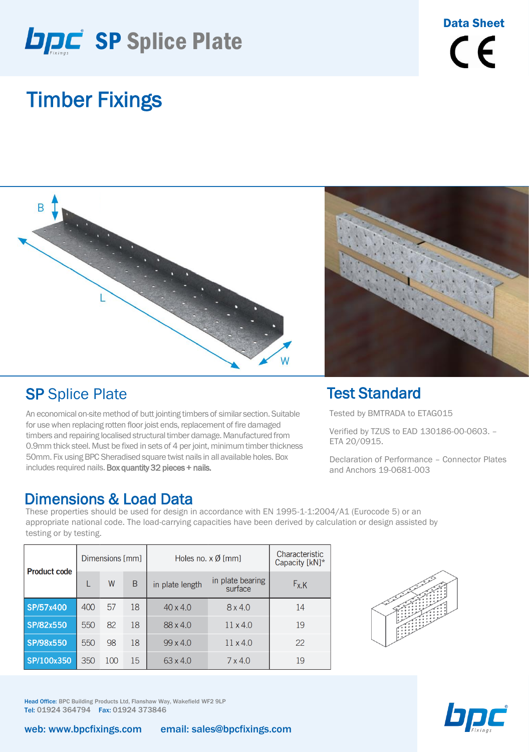

## Timber Fixings



#### **SP Splice Plate**

testing or by testing.

An economical on-site method of butt jointing timbers of similar section. Suitable for use when replacing rotten floor joist ends, replacement of fire damaged timbers and repairing localised structural timber damage. Manufactured from 0.9mm thick steel. Must be fixed in sets of 4 per joint, minimum timber thickness 50mm. Fix using BPC Sheradised square twist nails in all available holes. Box includes required nails. Box quantity 32 pieces + nails.

#### Dimensions & Load Data These properties should be used for design in accordance with EN 1995-1-1:2004/A1 (Eurocode 5) or an



#### Test Standard

Tested by BMTRADA to ETAG015

Verified by TZUS to EAD 130186-00-0603. – ETA 20/0915.

Declaration of Performance – Connector Plates and Anchors 19-0681-003

| <b>Product code</b> | Dimensions [mm] |     |    | Holes no. $\times$ Ø [mm] |                             | Characteristic<br>Capacity [kN]* |  |
|---------------------|-----------------|-----|----|---------------------------|-----------------------------|----------------------------------|--|
|                     |                 | W   | B  | in plate length           | in plate bearing<br>surface | $F_{X,K}$                        |  |
| SP/57x400           | 400             | 57  | 18 | $40 \times 4.0$           | 8x4.0                       | 14                               |  |
| SP/82x550           | 550             | 82  | 18 | $88 \times 4.0$           | $11 \times 4.0$             | 19                               |  |
| SP/98x550           | 550             | 98  | 18 | $99 \times 4.0$           | $11 \times 4.0$             | 22                               |  |
| SP/100x350          | 350             | 100 | 15 | $63 \times 4.0$           | $7 \times 4.0$              | 19                               |  |

appropriate national code. The load-carrying capacities have been derived by calculation or design assisted by





Head Office: BPC Building Products Ltd, Flanshaw Way, Wakefield WF2 9LP Tel: 01924 364794 Fax: 01924 373846